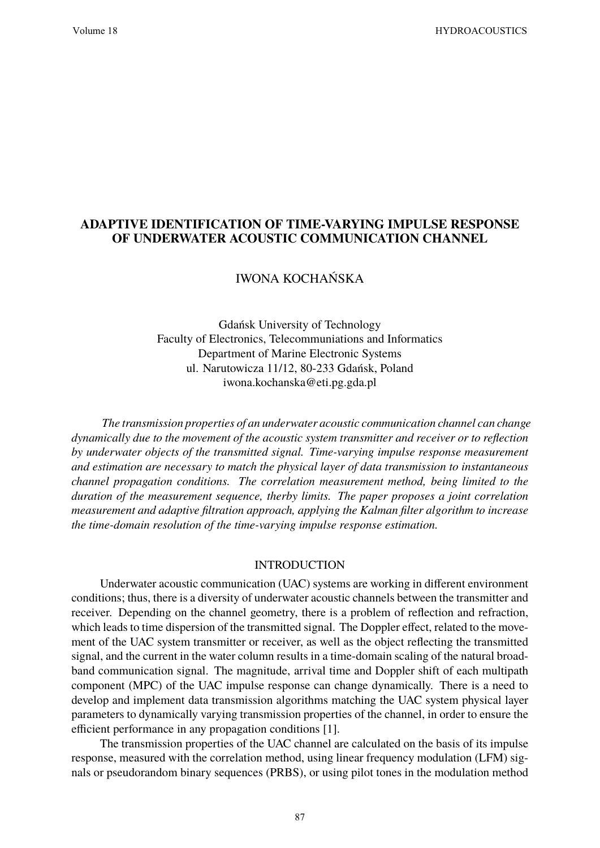# **ADAPTIVE IDENTIFICATION OF TIME-VARYING IMPULSE RESPONSE OF UNDERWATER ACOUSTIC COMMUNICATION CHANNEL**

# IWONA KOCHAŃSKA

Gdańsk University of Technology Faculty of Electronics, Telecommuniations and Informatics Department of Marine Electronic Systems ul. Narutowicza 11/12, 80-233 Gdańsk, Poland iwona.kochanska@eti.pg.gda.pl

*The transmission properties of an underwater acoustic communication channel can change dynamically due to the movement of the acoustic system transmitter and receiver or to reflection by underwater objects of the transmitted signal. Time-varying impulse response measurement and estimation are necessary to match the physical layer of data transmission to instantaneous channel propagation conditions. The correlation measurement method, being limited to the duration of the measurement sequence, therby limits. The paper proposes a joint correlation measurement and adaptive filtration approach, applying the Kalman filter algorithm to increase the time-domain resolution of the time-varying impulse response estimation.*

#### INTRODUCTION

Underwater acoustic communication (UAC) systems are working in different environment conditions; thus, there is a diversity of underwater acoustic channels between the transmitter and receiver. Depending on the channel geometry, there is a problem of reflection and refraction, which leads to time dispersion of the transmitted signal. The Doppler effect, related to the movement of the UAC system transmitter or receiver, as well as the object reflecting the transmitted signal, and the current in the water column results in a time-domain scaling of the natural broadband communication signal. The magnitude, arrival time and Doppler shift of each multipath component (MPC) of the UAC impulse response can change dynamically. There is a need to develop and implement data transmission algorithms matching the UAC system physical layer parameters to dynamically varying transmission properties of the channel, in order to ensure the efficient performance in any propagation conditions [1].

The transmission properties of the UAC channel are calculated on the basis of its impulse response, measured with the correlation method, using linear frequency modulation (LFM) signals or pseudorandom binary sequences (PRBS), or using pilot tones in the modulation method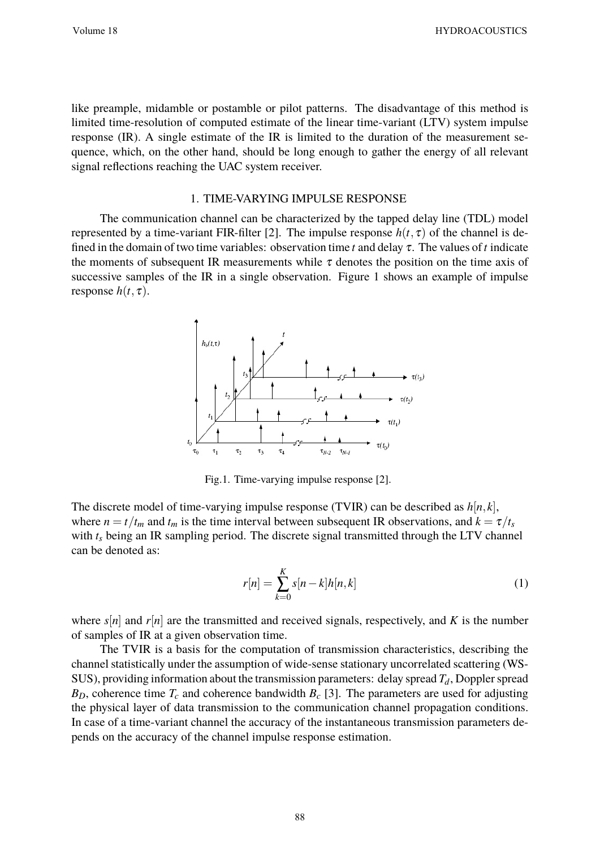Volume 18 HYDROACOUSTICS

like preample, midamble or postamble or pilot patterns. The disadvantage of this method is limited time-resolution of computed estimate of the linear time-variant (LTV) system impulse response (IR). A single estimate of the IR is limited to the duration of the measurement sequence, which, on the other hand, should be long enough to gather the energy of all relevant signal reflections reaching the UAC system receiver.

# 1. TIME-VARYING IMPULSE RESPONSE

The communication channel can be characterized by the tapped delay line (TDL) model represented by a time-variant FIR-filter [2]. The impulse response  $h(t, \tau)$  of the channel is defined in the domain of two time variables: observation time  $t$  and delay  $\tau$ . The values of  $t$  indicate the moments of subsequent IR measurements while  $\tau$  denotes the position on the time axis of successive samples of the IR in a single observation. Figure 1 shows an example of impulse response  $h(t, \tau)$ .



Fig.1. Time-varying impulse response [2].

The discrete model of time-varying impulse response (TVIR) can be described as *h*[*n*, *k*], where  $n = t/t_m$  and  $t_m$  is the time interval between subsequent IR observations, and  $k = \tau/t_s$ with  $t_s$  being an IR sampling period. The discrete signal transmitted through the LTV channel can be denoted as:

$$
r[n] = \sum_{k=0}^{K} s[n-k]h[n,k]
$$
 (1)

where  $s[n]$  and  $r[n]$  are the transmitted and received signals, respectively, and *K* is the number of samples of IR at a given observation time.

The TVIR is a basis for the computation of transmission characteristics, describing the channel statistically under the assumption of wide-sense stationary uncorrelated scattering (WS-SUS), providing information about the transmission parameters: delay spread  $T_d$ , Doppler spread  $B_D$ , coherence time  $T_c$  and coherence bandwidth  $B_c$  [3]. The parameters are used for adjusting the physical layer of data transmission to the communication channel propagation conditions. In case of a time-variant channel the accuracy of the instantaneous transmission parameters depends on the accuracy of the channel impulse response estimation.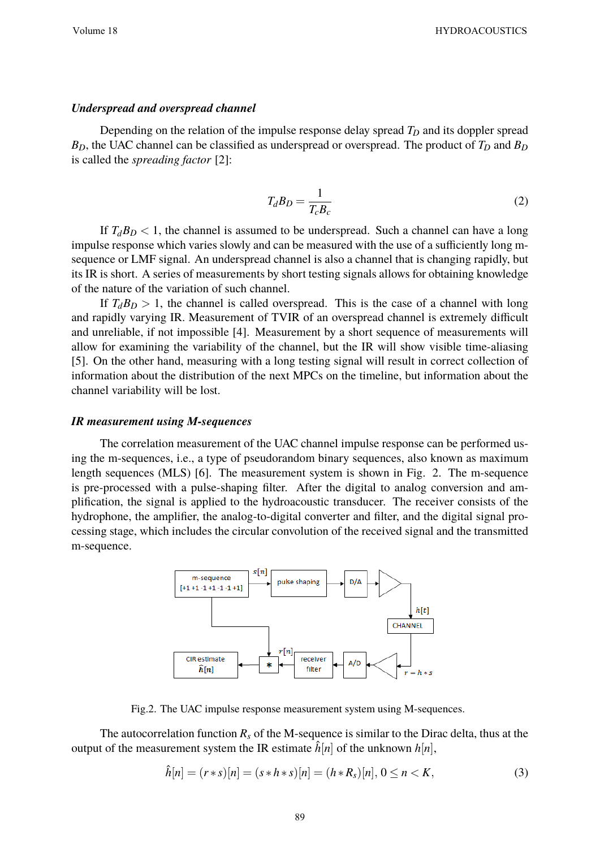# *Underspread and overspread channel*

Depending on the relation of the impulse response delay spread  $T_D$  and its doppler spread  $B_D$ , the UAC channel can be classified as underspread or overspread. The product of  $T_D$  and  $B_D$ is called the *spreading factor* [2]:

$$
T_d B_D = \frac{1}{T_c B_c} \tag{2}
$$

If  $T_dB_D < 1$ , the channel is assumed to be underspread. Such a channel can have a long impulse response which varies slowly and can be measured with the use of a sufficiently long msequence or LMF signal. An underspread channel is also a channel that is changing rapidly, but its IR is short. A series of measurements by short testing signals allows for obtaining knowledge of the nature of the variation of such channel.

If  $T_dB_D > 1$ , the channel is called overspread. This is the case of a channel with long and rapidly varying IR. Measurement of TVIR of an overspread channel is extremely difficult and unreliable, if not impossible [4]. Measurement by a short sequence of measurements will allow for examining the variability of the channel, but the IR will show visible time-aliasing [5]. On the other hand, measuring with a long testing signal will result in correct collection of information about the distribution of the next MPCs on the timeline, but information about the channel variability will be lost.

### *IR measurement using M-sequences*

The correlation measurement of the UAC channel impulse response can be performed using the m-sequences, i.e., a type of pseudorandom binary sequences, also known as maximum length sequences (MLS) [6]. The measurement system is shown in Fig. 2. The m-sequence is pre-processed with a pulse-shaping filter. After the digital to analog conversion and amplification, the signal is applied to the hydroacoustic transducer. The receiver consists of the hydrophone, the amplifier, the analog-to-digital converter and filter, and the digital signal processing stage, which includes the circular convolution of the received signal and the transmitted m-sequence.



Fig.2. The UAC impulse response measurement system using M-sequences.

The autocorrelation function  $R_s$  of the M-sequence is similar to the Dirac delta, thus at the output of the measurement system the IR estimate  $\hat{h}[n]$  of the unknown  $h[n]$ ,

$$
\hat{h}[n] = (r * s)[n] = (s * h * s)[n] = (h * R_s)[n], 0 \le n < K,\tag{3}
$$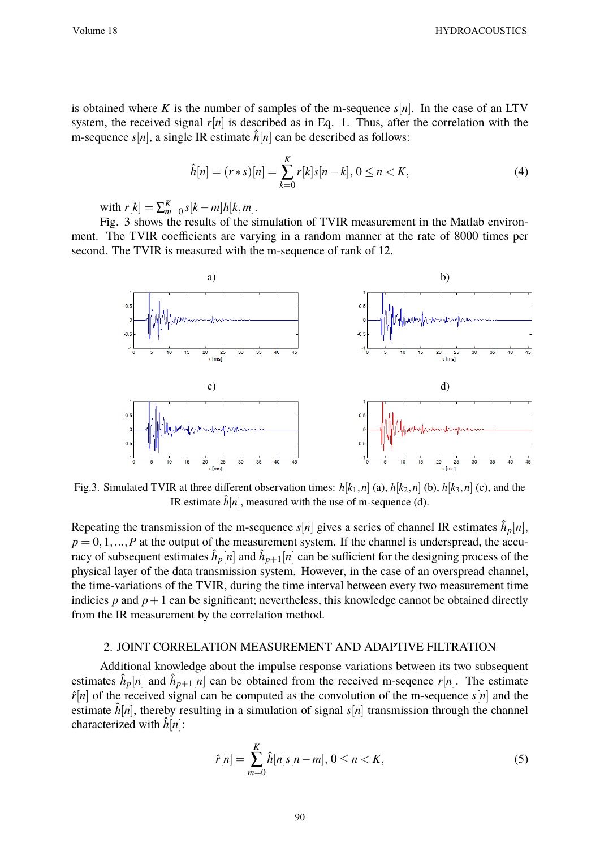Volume 18 HYDROACOUSTICS

is obtained where K is the number of samples of the m-sequence  $s[n]$ . In the case of an LTV system, the received signal  $r[n]$  is described as in Eq. 1. Thus, after the correlation with the m-sequence  $s[n]$ , a single IR estimate  $\hat{h}[n]$  can be described as follows:

$$
\hat{h}[n] = (r * s)[n] = \sum_{k=0}^{K} r[k]s[n-k], 0 \le n < K,\tag{4}
$$

 $\text{with } r[k] = \sum_{m=0}^{K} s[k-m]h[k,m].$ 

Fig. 3 shows the results of the simulation of TVIR measurement in the Matlab environment. The TVIR coefficients are varying in a random manner at the rate of 8000 times per second. The TVIR is measured with the m-sequence of rank of 12.



Fig.3. Simulated TVIR at three different observation times:  $h[k_1,n]$  (a),  $h[k_2,n]$  (b),  $h[k_3,n]$  (c), and the IR estimate  $\hat{h}[n]$ , measured with the use of m-sequence (d).

Repeating the transmission of the m-sequence  $s[n]$  gives a series of channel IR estimates  $\hat{h}_p[n]$ ,  $p = 0, 1, \ldots, P$  at the output of the measurement system. If the channel is underspread, the accuracy of subsequent estimates  $\hat{h}_p[n]$  and  $\hat{h}_{p+1}[n]$  can be sufficient for the designing process of the physical layer of the data transmission system. However, in the case of an overspread channel, the time-variations of the TVIR, during the time interval between every two measurement time indicies  $p$  and  $p+1$  can be significant; nevertheless, this knowledge cannot be obtained directly from the IR measurement by the correlation method.

### 2. JOINT CORRELATION MEASUREMENT AND ADAPTIVE FILTRATION

Additional knowledge about the impulse response variations between its two subsequent estimates  $\hat{h}_p[n]$  and  $\hat{h}_{p+1}[n]$  can be obtained from the received m-seqence  $r[n]$ . The estimate  $\hat{r}[n]$  of the received signal can be computed as the convolution of the m-sequence  $s[n]$  and the estimate  $\hat{h}[n]$ , thereby resulting in a simulation of signal  $s[n]$  transmission through the channel characterized with  $\hat{h}[n]$ :

$$
\hat{r}[n] = \sum_{m=0}^{K} \hat{h}[n]s[n-m], \, 0 \le n < K,\tag{5}
$$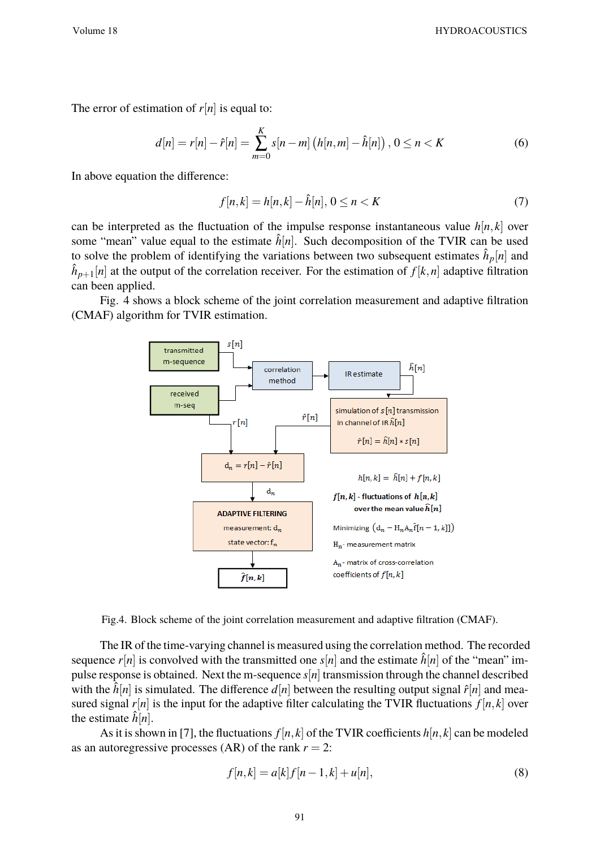The error of estimation of  $r[n]$  is equal to:

$$
d[n] = r[n] - \hat{r}[n] = \sum_{m=0}^{K} s[n-m] (h[n,m] - \hat{h}[n]), 0 \le n < K \tag{6}
$$

In above equation the difference:

$$
f[n,k] = h[n,k] - \hat{h}[n], \, 0 \le n < K \tag{7}
$$

can be interpreted as the fluctuation of the impulse response instantaneous value  $h[n, k]$  over some "mean" value equal to the estimate  $\hat{h}[n]$ . Such decomposition of the TVIR can be used to solve the problem of identifying the variations between two subsequent estimates  $\hat{h}_p[n]$  and  $\hat{h}_{p+1}[n]$  at the output of the correlation receiver. For the estimation of  $f[k,n]$  adaptive filtration can been applied.

Fig. 4 shows a block scheme of the joint correlation measurement and adaptive filtration (CMAF) algorithm for TVIR estimation.



Fig.4. Block scheme of the joint correlation measurement and adaptive filtration (CMAF).

The IR of the time-varying channel is measured using the correlation method. The recorded sequence  $r[n]$  is convolved with the transmitted one  $s[n]$  and the estimate  $\hat{h}[n]$  of the "mean" impulse response is obtained. Next the m-sequence *s*[*n*] transmission through the channel described with the  $\hat{h}[n]$  is simulated. The difference  $d[n]$  between the resulting output signal  $\hat{r}[n]$  and measured signal  $r[n]$  is the input for the adaptive filter calculating the TVIR fluctuations  $f[n, k]$  over the estimate  $\hat{h}[n]$ .

As it is shown in [7], the fluctuations  $f[n, k]$  of the TVIR coefficients  $h[n, k]$  can be modeled as an autoregressive processes  $(AR)$  of the rank  $r = 2$ :

$$
f[n,k] = a[k]f[n-1,k] + u[n],
$$
\n(8)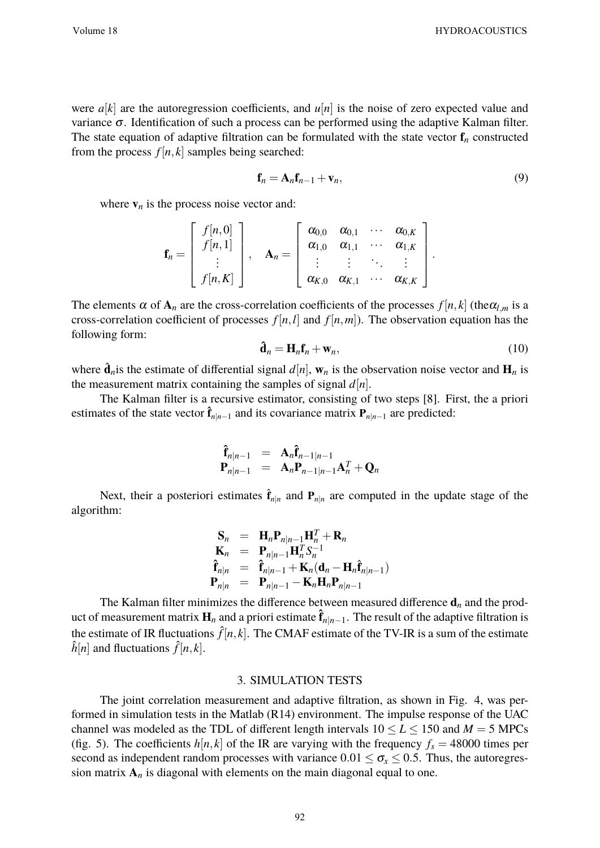were  $a[k]$  are the autoregression coefficients, and  $u[n]$  is the noise of zero expected value and variance σ. Identification of such a process can be performed using the adaptive Kalman filter. The state equation of adaptive filtration can be formulated with the state vector  $f_n$  constructed from the process  $f[n, k]$  samples being searched:

$$
\mathbf{f}_n = \mathbf{A}_n \mathbf{f}_{n-1} + \mathbf{v}_n,\tag{9}
$$

where  $v_n$  is the process noise vector and:

$$
\mathbf{f}_n = \begin{bmatrix} f[n,0] \\ f[n,1] \\ \vdots \\ f[n,K] \end{bmatrix}, \quad \mathbf{A}_n = \begin{bmatrix} \alpha_{0,0} & \alpha_{0,1} & \cdots & \alpha_{0,K} \\ \alpha_{1,0} & \alpha_{1,1} & \cdots & \alpha_{1,K} \\ \vdots & \vdots & \ddots & \vdots \\ \alpha_{K,0} & \alpha_{K,1} & \cdots & \alpha_{K,K} \end{bmatrix}.
$$

The elements  $\alpha$  of  $A_n$  are the cross-correlation coefficients of the processes  $f[n, k]$  (the $\alpha_{l,m}$  is a cross-correlation coefficient of processes  $f[n, l]$  and  $f[n, m]$ ). The observation equation has the following form:

$$
\hat{\mathbf{d}}_n = \mathbf{H}_n \mathbf{f}_n + \mathbf{w}_n, \tag{10}
$$

where  $\hat{\mathbf{d}}_n$  is the estimate of differential signal  $d[n]$ ,  $\mathbf{w}_n$  is the observation noise vector and  $\mathbf{H}_n$  is the measurement matrix containing the samples of signal  $d[n]$ .

The Kalman filter is a recursive estimator, consisting of two steps [8]. First, the a priori estimates of the state vector  $\hat{\mathbf{f}}_{n|n-1}$  and its covariance matrix  $\mathbf{P}_{n|n-1}$  are predicted:

$$
\begin{array}{rcl}\n\mathbf{\hat{f}}_{n|n-1} & = & \mathbf{A}_n \mathbf{\hat{f}}_{n-1|n-1} \\
\mathbf{P}_{n|n-1} & = & \mathbf{A}_n \mathbf{P}_{n-1|n-1} \mathbf{A}_n^T + \mathbf{Q}_n\n\end{array}
$$

Next, their a posteriori estimates  $\hat{\mathbf{f}}_{n|n}$  and  $\mathbf{P}_{n|n}$  are computed in the update stage of the algorithm:

$$
\begin{array}{rcl}\n\mathbf{S}_n &=& \mathbf{H}_n \mathbf{P}_{n|n-1} \mathbf{H}_n^T + \mathbf{R}_n \\
\mathbf{K}_n &=& \mathbf{P}_{n|n-1} \mathbf{H}_n^T S_n^{-1} \\
\hat{\mathbf{f}}_{n|n} &=& \hat{\mathbf{f}}_{n|n-1} + \mathbf{K}_n (\mathbf{d}_n - \mathbf{H}_n \hat{\mathbf{f}}_{n|n-1}) \\
\mathbf{P}_{n|n} &=& \mathbf{P}_{n|n-1} - \mathbf{K}_n \mathbf{H}_n \mathbf{P}_{n|n-1}\n\end{array}
$$

The Kalman filter minimizes the difference between measured difference  $\mathbf{d}_n$  and the product of measurement matrix  $\mathbf{H}_n$  and a priori estimate  $\mathbf{\hat{f}}_{n|n-1}$ . The result of the adaptive filtration is the estimate of IR fluctuations  $\hat{f}[n, k]$ . The CMAF estimate of the TV-IR is a sum of the estimate  $\hat{h}[n]$  and fluctuations  $\hat{f}[n, k]$ .

### 3. SIMULATION TESTS

The joint correlation measurement and adaptive filtration, as shown in Fig. 4, was performed in simulation tests in the Matlab (R14) environment. The impulse response of the UAC channel was modeled as the TDL of different length intervals  $10 \le L \le 150$  and  $M = 5$  MPCs (fig. 5). The coefficients  $h[n, k]$  of the IR are varying with the frequency  $f_s = 48000$  times per second as independent random processes with variance  $0.01 \leq \sigma_x \leq 0.5$ . Thus, the autoregression matrix  $A_n$  is diagonal with elements on the main diagonal equal to one.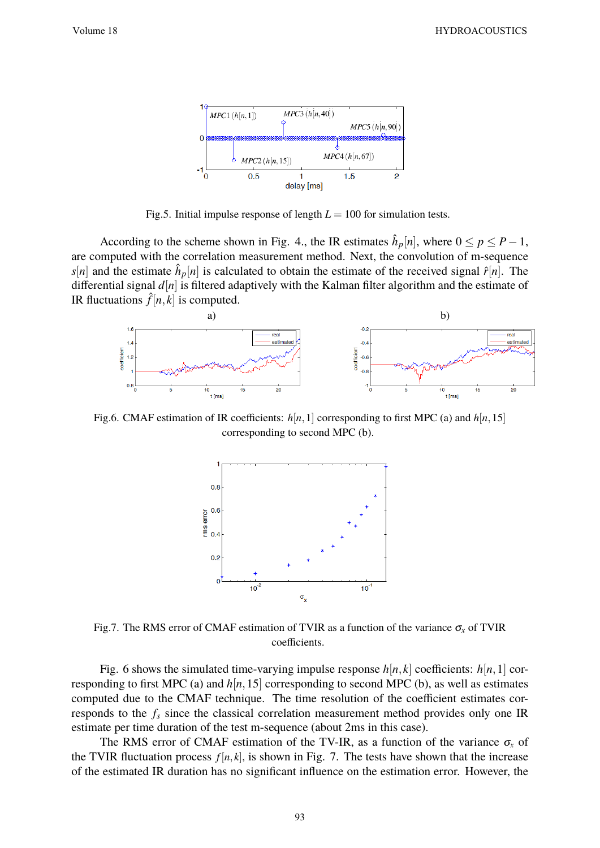

Fig.5. Initial impulse response of length  $L = 100$  for simulation tests.

According to the scheme shown in Fig. 4., the IR estimates  $\hat{h}_p[n]$ , where  $0 \le p \le P-1$ , are computed with the correlation measurement method. Next, the convolution of m-sequence *s*[*n*] and the estimate  $\hat{h}_p[n]$  is calculated to obtain the estimate of the received signal  $\hat{r}[n]$ . The differential signal *d*[*n*] is filtered adaptively with the Kalman filter algorithm and the estimate of IR fluctuations  $\hat{f}[n, k]$  is computed.



Fig.6. CMAF estimation of IR coefficients: *h*[*n*,1] corresponding to first MPC (a) and *h*[*n*,15] corresponding to second MPC (b).



Fig.7. The RMS error of CMAF estimation of TVIR as a function of the variance  $\sigma_x$  of TVIR coefficients.

Fig. 6 shows the simulated time-varying impulse response  $h[n, k]$  coefficients:  $h[n, 1]$  corresponding to first MPC (a) and  $h[n,15]$  corresponding to second MPC (b), as well as estimates computed due to the CMAF technique. The time resolution of the coefficient estimates corresponds to the *f<sup>s</sup>* since the classical correlation measurement method provides only one IR estimate per time duration of the test m-sequence (about 2ms in this case).

The RMS error of CMAF estimation of the TV-IR, as a function of the variance  $\sigma_x$  of the TVIR fluctuation process  $f[n, k]$ , is shown in Fig. 7. The tests have shown that the increase of the estimated IR duration has no significant influence on the estimation error. However, the